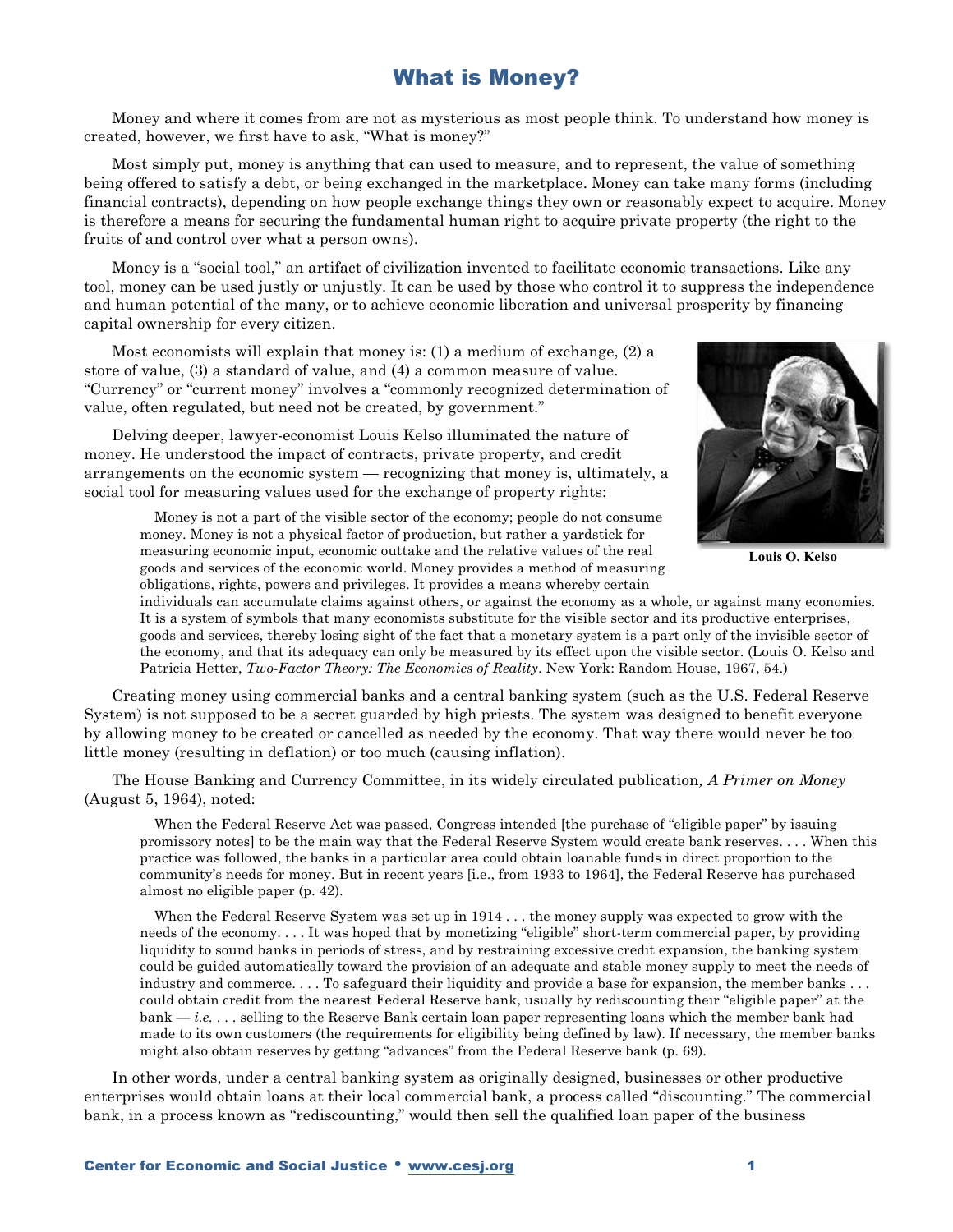## What is Money?

Money and where it comes from are not as mysterious as most people think. To understand how money is created, however, we first have to ask, "What is money?"

Most simply put, money is anything that can used to measure, and to represent, the value of something being offered to satisfy a debt, or being exchanged in the marketplace. Money can take many forms (including financial contracts), depending on how people exchange things they own or reasonably expect to acquire. Money is therefore a means for securing the fundamental human right to acquire private property (the right to the fruits of and control over what a person owns).

Money is a "social tool," an artifact of civilization invented to facilitate economic transactions. Like any tool, money can be used justly or unjustly. It can be used by those who control it to suppress the independence and human potential of the many, or to achieve economic liberation and universal prosperity by financing capital ownership for every citizen.

Most economists will explain that money is: (1) a medium of exchange, (2) a store of value, (3) a standard of value, and (4) a common measure of value. "Currency" or "current money" involves a "commonly recognized determination of value, often regulated, but need not be created, by government."

Delving deeper, lawyer-economist Louis Kelso illuminated the nature of money. He understood the impact of contracts, private property, and credit arrangements on the economic system — recognizing that money is, ultimately, a social tool for measuring values used for the exchange of property rights:



**Louis O. Kelso**

Money is not a part of the visible sector of the economy; people do not consume money. Money is not a physical factor of production, but rather a yardstick for measuring economic input, economic outtake and the relative values of the real goods and services of the economic world. Money provides a method of measuring obligations, rights, powers and privileges. It provides a means whereby certain

individuals can accumulate claims against others, or against the economy as a whole, or against many economies. It is a system of symbols that many economists substitute for the visible sector and its productive enterprises, goods and services, thereby losing sight of the fact that a monetary system is a part only of the invisible sector of the economy, and that its adequacy can only be measured by its effect upon the visible sector. (Louis O. Kelso and Patricia Hetter, *Two-Factor Theory: The Economics of Reality*. New York: Random House, 1967, 54.)

Creating money using commercial banks and a central banking system (such as the U.S. Federal Reserve System) is not supposed to be a secret guarded by high priests. The system was designed to benefit everyone by allowing money to be created or cancelled as needed by the economy. That way there would never be too little money (resulting in deflation) or too much (causing inflation).

The House Banking and Currency Committee, in its widely circulated publication*, A Primer on Money* (August 5, 1964), noted:

When the Federal Reserve Act was passed, Congress intended [the purchase of "eligible paper" by issuing promissory notes] to be the main way that the Federal Reserve System would create bank reserves. . . . When this practice was followed, the banks in a particular area could obtain loanable funds in direct proportion to the community's needs for money. But in recent years [i.e., from 1933 to 1964], the Federal Reserve has purchased almost no eligible paper (p. 42).

When the Federal Reserve System was set up in 1914 . . . the money supply was expected to grow with the needs of the economy. . . . It was hoped that by monetizing "eligible" short-term commercial paper, by providing liquidity to sound banks in periods of stress, and by restraining excessive credit expansion, the banking system could be guided automatically toward the provision of an adequate and stable money supply to meet the needs of industry and commerce. . . . To safeguard their liquidity and provide a base for expansion, the member banks . . . could obtain credit from the nearest Federal Reserve bank, usually by rediscounting their "eligible paper" at the bank — *i.e.* . . . selling to the Reserve Bank certain loan paper representing loans which the member bank had made to its own customers (the requirements for eligibility being defined by law). If necessary, the member banks might also obtain reserves by getting "advances" from the Federal Reserve bank (p. 69).

In other words, under a central banking system as originally designed, businesses or other productive enterprises would obtain loans at their local commercial bank, a process called "discounting." The commercial bank, in a process known as "rediscounting," would then sell the qualified loan paper of the business